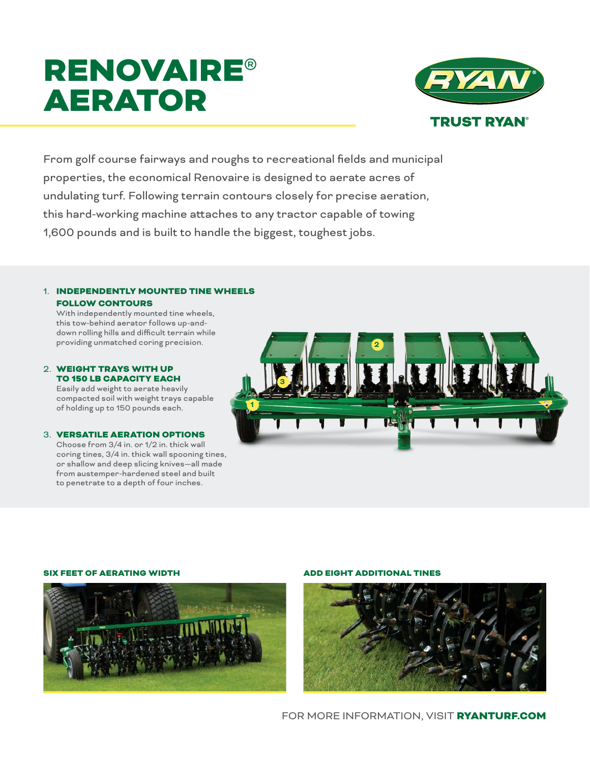# RENOVAIRE® AERATOR



From golf course fairways and roughs to recreational fields and municipal properties, the economical Renovaire is designed to aerate acres of undulating turf. Following terrain contours closely for precise aeration, this hard-working machine attaches to any tractor capable of towing 1,600 pounds and is built to handle the biggest, toughest jobs.

### 1. INDEPENDENTLY MOUNTED TINE WHEELS FOLLOW CONTOURS

With independently mounted tine wheels, this tow-behind aerator follows up-anddown rolling hills and difficult terrain while providing unmatched coring precision.

#### 2. WEIGHT TRAYS WITH UP TO 150 LB CAPACITY EACH

Easily add weight to aerate heavily compacted soil with weight trays capable of holding up to 150 pounds each.

#### 3. VERSATILE AERATION OPTIONS

Choose from 3/4 in. or 1/2 in. thick wall coring tines, 3/4 in. thick wall spooning tines, or shallow and deep slicing knives—all made from austemper-hardened steel and built to penetrate to a depth of four inches.



#### SIX FEET OF AERATING WIDTH ADD EIGHT ADDITIONAL TINES